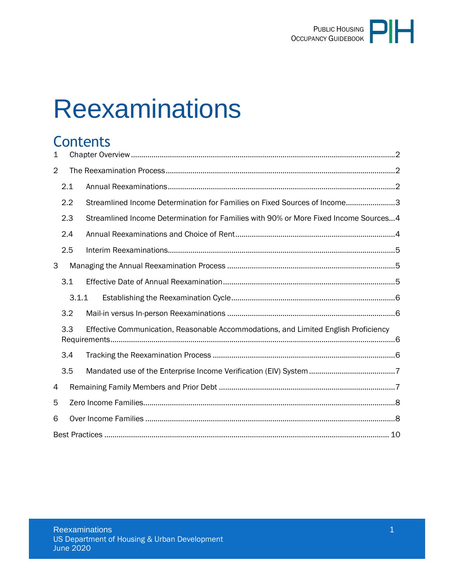

# **Reexaminations**

# **Contents**

| $\mathbf 1$    |       |                                                                                      |  |  |  |
|----------------|-------|--------------------------------------------------------------------------------------|--|--|--|
| $\overline{2}$ |       |                                                                                      |  |  |  |
|                | 2.1   |                                                                                      |  |  |  |
|                | 2.2   | Streamlined Income Determination for Families on Fixed Sources of Income3            |  |  |  |
|                | 2.3   | Streamlined Income Determination for Families with 90% or More Fixed Income Sources4 |  |  |  |
|                | 2.4   |                                                                                      |  |  |  |
|                | 2.5   |                                                                                      |  |  |  |
| 3              |       |                                                                                      |  |  |  |
|                | 3.1   |                                                                                      |  |  |  |
|                | 3.1.1 |                                                                                      |  |  |  |
|                | 3.2   |                                                                                      |  |  |  |
|                | 3.3   | Effective Communication, Reasonable Accommodations, and Limited English Proficiency  |  |  |  |
|                | 3.4   |                                                                                      |  |  |  |
|                | 3.5   |                                                                                      |  |  |  |
| 4              |       |                                                                                      |  |  |  |
| 5              |       |                                                                                      |  |  |  |
| 6              |       |                                                                                      |  |  |  |
|                |       |                                                                                      |  |  |  |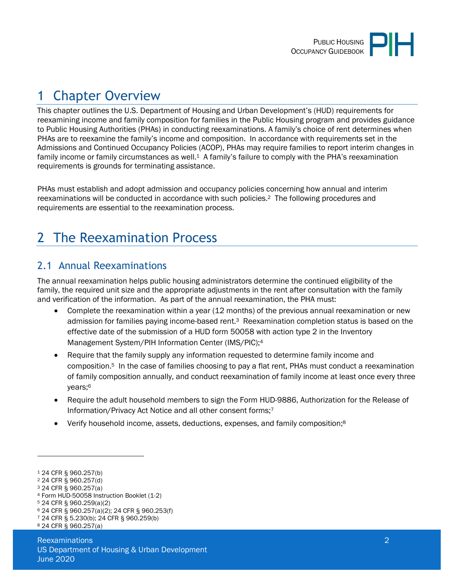# <span id="page-1-0"></span>1 Chapter Overview

This chapter outlines the U.S. Department of Housing and Urban Development's (HUD) requirements for reexamining income and family composition for families in the Public Housing program and provides guidance to Public Housing Authorities (PHAs) in conducting reexaminations. A family's choice of rent determines when PHAs are to reexamine the family's income and composition. In accordance with requirements set in the Admissions and Continued Occupancy Policies (ACOP), PHAs may require families to report interim changes in family income or family circumstances as well.1 A family's failure to comply with the PHA's reexamination requirements is grounds for terminating assistance.

PHAs must establish and adopt admission and occupancy policies concerning how annual and interim reexaminations will be conducted in accordance with such policies.2 The following procedures and requirements are essential to the reexamination process.

# <span id="page-1-1"></span>2 The Reexamination Process

## <span id="page-1-2"></span>2.1 Annual Reexaminations

The annual reexamination helps public housing administrators determine the continued eligibility of the family, the required unit size and the appropriate adjustments in the rent after consultation with the family and verification of the information. As part of the annual reexamination, the PHA must:

- Complete the reexamination within a year (12 months) of the previous annual reexamination or new admission for families paying income-based rent.3 Reexamination completion status is based on the effective date of the submission of a HUD form 50058 with action type 2 in the Inventory Management System/PIH Information Center (IMS/PIC);<sup>4</sup>
- Require that the family supply any information requested to determine family income and composition.5 In the case of families choosing to pay a flat rent, PHAs must conduct a reexamination of family composition annually, and conduct reexamination of family income at least once every three years;<sup>6</sup>
- Require the adult household members to sign the Form HUD-9886, Authorization for the Release of Information/Privacy Act Notice and all other consent forms;<sup>7</sup>
- Verify household income, assets, deductions, expenses, and family composition;<sup>8</sup>

<sup>7</sup> 24 CFR § 5.230(b); 24 CFR § 960.259(b)

<sup>1</sup> 24 CFR § 960.257(b)

<sup>2</sup> 24 CFR § 960.257(d)

<sup>3</sup> 24 CFR § 960.257(a)

<sup>4</sup> Form HUD-50058 Instruction Booklet (1-2)

<sup>5</sup> 24 CFR § 960.259(a)(2)

<sup>6</sup> 24 CFR § 960.257(a)(2); 24 CFR § 960.253(f)

<sup>8</sup> 24 CFR § 960.257(a)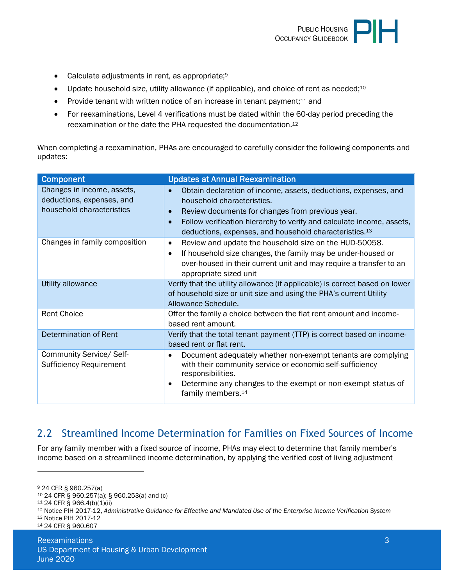

- Calculate adjustments in rent, as appropriate;<sup>9</sup>
- Update household size, utility allowance (if applicable), and choice of rent as needed;<sup>10</sup>
- Provide tenant with written notice of an increase in tenant payment:<sup>11</sup> and
- For reexaminations, Level 4 verifications must be dated within the 60-day period preceding the reexamination or the date the PHA requested the documentation.<sup>12</sup>

When completing a reexamination, PHAs are encouraged to carefully consider the following components and updates:

| <b>Component</b>                                           | <b>Updates at Annual Reexamination</b>                                                                                                                                                                                  |  |
|------------------------------------------------------------|-------------------------------------------------------------------------------------------------------------------------------------------------------------------------------------------------------------------------|--|
| Changes in income, assets,<br>deductions, expenses, and    | Obtain declaration of income, assets, deductions, expenses, and<br>$\bullet$<br>household characteristics.                                                                                                              |  |
| household characteristics                                  | Review documents for changes from previous year.<br>$\bullet$                                                                                                                                                           |  |
|                                                            | Follow verification hierarchy to verify and calculate income, assets,<br>$\bullet$<br>deductions, expenses, and household characteristics. <sup>13</sup>                                                                |  |
| Changes in family composition                              | Review and update the household size on the HUD-50058.<br>$\bullet$                                                                                                                                                     |  |
|                                                            | If household size changes, the family may be under-housed or<br>$\bullet$                                                                                                                                               |  |
|                                                            | over-housed in their current unit and may require a transfer to an<br>appropriate sized unit                                                                                                                            |  |
| Utility allowance                                          | Verify that the utility allowance (if applicable) is correct based on lower                                                                                                                                             |  |
|                                                            | of household size or unit size and using the PHA's current Utility                                                                                                                                                      |  |
|                                                            | Allowance Schedule.                                                                                                                                                                                                     |  |
| <b>Rent Choice</b>                                         | Offer the family a choice between the flat rent amount and income-                                                                                                                                                      |  |
|                                                            | based rent amount.                                                                                                                                                                                                      |  |
| Determination of Rent                                      | Verify that the total tenant payment (TTP) is correct based on income-                                                                                                                                                  |  |
|                                                            | based rent or flat rent.                                                                                                                                                                                                |  |
| Community Service/ Self-<br><b>Sufficiency Requirement</b> | Document adequately whether non-exempt tenants are complying<br>٠<br>with their community service or economic self-sufficiency<br>responsibilities.<br>Determine any changes to the exempt or non-exempt status of<br>٠ |  |
|                                                            | family members. <sup>14</sup>                                                                                                                                                                                           |  |

#### <span id="page-2-0"></span>2.2 Streamlined Income Determination for Families on Fixed Sources of Income

For any family member with a fixed source of income, PHAs may elect to determine that family member's income based on a streamlined income determination, by applying the verified cost of living adjustment

<sup>9</sup> 24 CFR § 960.257(a)

<sup>10</sup> 24 CFR § 960.257(a); § 960.253(a) and (c)

<sup>11</sup> 24 CFR § 966.4(b)(1)(ii)

<sup>12</sup> Notice PIH 2017-12, *Administrative Guidance for Effective and Mandated Use of the Enterprise Income Verification System*

<sup>13</sup> Notice PIH 2017-12

<sup>14</sup> 24 CFR § 960.607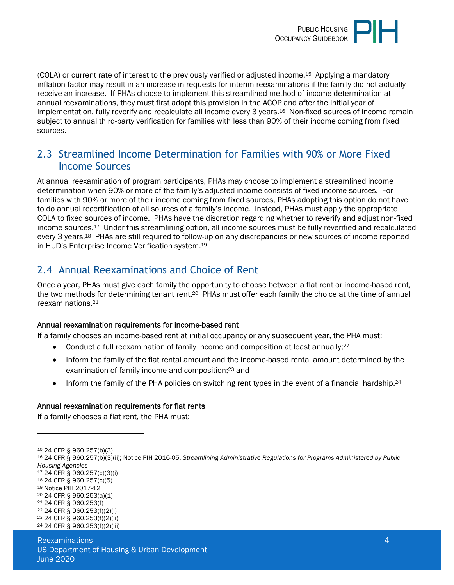

(COLA) or current rate of interest to the previously verified or adjusted income.15 Applying a mandatory inflation factor may result in an increase in requests for interim reexaminations if the family did not actually receive an increase. If PHAs choose to implement this streamlined method of income determination at annual reexaminations, they must first adopt this provision in the ACOP and after the initial year of implementation, fully reverify and recalculate all income every 3 years.<sup>16</sup> Non-fixed sources of income remain subject to annual third-party verification for families with less than 90% of their income coming from fixed sources.

#### <span id="page-3-0"></span>2.3 Streamlined Income Determination for Families with 90% or More Fixed Income Sources

At annual reexamination of program participants, PHAs may choose to implement a streamlined income determination when 90% or more of the family's adjusted income consists of fixed income sources. For families with 90% or more of their income coming from fixed sources, PHAs adopting this option do not have to do annual recertification of all sources of a family's income. Instead, PHAs must apply the appropriate COLA to fixed sources of income. PHAs have the discretion regarding whether to reverify and adjust non-fixed income sources.17 Under this streamlining option, all income sources must be fully reverified and recalculated every 3 years.18 PHAs are still required to follow-up on any discrepancies or new sources of income reported in HUD's Enterprise Income Verification system.<sup>19</sup>

## <span id="page-3-1"></span>2.4 Annual Reexaminations and Choice of Rent

Once a year, PHAs must give each family the opportunity to choose between a flat rent or income-based rent, the two methods for determining tenant rent.20 PHAs must offer each family the choice at the time of annual reexaminations.<sup>21</sup>

#### Annual reexamination requirements for income-based rent

If a family chooses an income-based rent at initial occupancy or any subsequent year, the PHA must:

- Conduct a full reexamination of family income and composition at least annually;<sup>22</sup>
- Inform the family of the flat rental amount and the income-based rental amount determined by the examination of family income and composition;23 and
- Inform the family of the PHA policies on switching rent types in the event of a financial hardship.<sup>24</sup>

#### Annual reexamination requirements for flat rents

If a family chooses a flat rent, the PHA must:

<sup>15</sup> 24 CFR § 960.257(b)(3)

- <sup>17</sup> 24 CFR § 960.257(c)(3)(i)
- <sup>18</sup> 24 CFR § 960.257(c)(5)
- <sup>19</sup> Notice PIH 2017-12 <sup>20</sup> 24 CFR § 960.253(a)(1)
- <sup>21</sup> 24 CFR § 960.253(f)

24 24 CFR § 960.253(f)(2)(iii)

<sup>16</sup> 24 CFR § 960.257(b)(3)(ii); Notice PIH 2016-05, *Streamlining Administrative Regulations for Programs Administered by Public Housing Agencies*

<sup>22</sup> 24 CFR § 960.253(f)(2)(i)

<sup>23</sup> 24 CFR § 960.253(f)(2)(ii)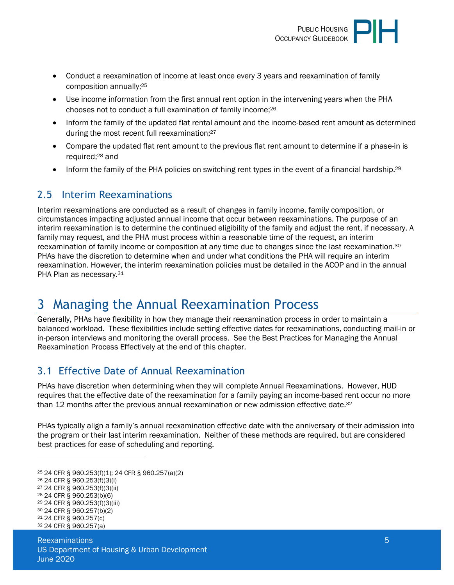

- Conduct a reexamination of income at least once every 3 years and reexamination of family composition annually;<sup>25</sup>
- Use income information from the first annual rent option in the intervening years when the PHA chooses not to conduct a full examination of family income;<sup>26</sup>
- Inform the family of the updated flat rental amount and the income-based rent amount as determined during the most recent full reexamination;<sup>27</sup>
- Compare the updated flat rent amount to the previous flat rent amount to determine if a phase-in is required;28 and
- <span id="page-4-0"></span>Inform the family of the PHA policies on switching rent types in the event of a financial hardship.<sup>29</sup>

#### 2.5 Interim Reexaminations

Interim reexaminations are conducted as a result of changes in family income, family composition, or circumstances impacting adjusted annual income that occur between reexaminations. The purpose of an interim reexamination is to determine the continued eligibility of the family and adjust the rent, if necessary. A family may request, and the PHA must process within a reasonable time of the request, an interim reexamination of family income or composition at any time due to changes since the last reexamination.<sup>30</sup> PHAs have the discretion to determine when and under what conditions the PHA will require an interim reexamination. However, the interim reexamination policies must be detailed in the ACOP and in the annual PHA Plan as necessary.<sup>31</sup>

## <span id="page-4-1"></span>3 Managing the Annual Reexamination Process

Generally, PHAs have flexibility in how they manage their reexamination process in order to maintain a balanced workload. These flexibilities include setting effective dates for reexaminations, conducting mail-in or in-person interviews and monitoring the overall process. See the Best Practices for Managing the Annual Reexamination Process Effectively at the end of this chapter.

## <span id="page-4-2"></span>3.1 Effective Date of Annual Reexamination

PHAs have discretion when determining when they will complete Annual Reexaminations. However, HUD requires that the effective date of the reexamination for a family paying an income-based rent occur no more than 12 months after the previous annual reexamination or new admission effective date.<sup>32</sup>

PHAs typically align a family's annual reexamination effective date with the anniversary of their admission into the program or their last interim reexamination. Neither of these methods are required, but are considered best practices for ease of scheduling and reporting.

- <sup>27</sup> 24 CFR § 960.253(f)(3)(ii)
- <sup>28</sup> 24 CFR § 960.253(b)(6)

<sup>25</sup> 24 CFR § 960.253(f)(1); 24 CFR § 960.257(a)(2)

<sup>26</sup> 24 CFR § 960.253(f)(3)(i)

<sup>29</sup> 24 CFR § 960.253(f)(3)(iii)

<sup>30</sup> 24 CFR § 960.257(b)(2) <sup>31</sup> 24 CFR § 960.257(c)

<sup>32</sup> 24 CFR § 960.257(a)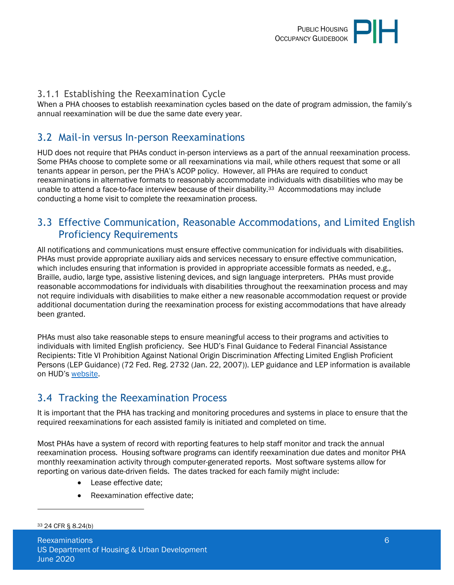

#### <span id="page-5-0"></span>3.1.1 Establishing the Reexamination Cycle

When a PHA chooses to establish reexamination cycles based on the date of program admission, the family's annual reexamination will be due the same date every year.

#### <span id="page-5-1"></span>3.2 Mail-in versus In-person Reexaminations

HUD does not require that PHAs conduct in-person interviews as a part of the annual reexamination process. Some PHAs choose to complete some or all reexaminations via mail, while others request that some or all tenants appear in person, per the PHA's ACOP policy. However, all PHAs are required to conduct reexaminations in alternative formats to reasonably accommodate individuals with disabilities who may be unable to attend a face-to-face interview because of their disability.<sup>33</sup> Accommodations may include conducting a home visit to complete the reexamination process.

#### <span id="page-5-2"></span>3.3 Effective Communication, Reasonable Accommodations, and Limited English Proficiency Requirements

All notifications and communications must ensure effective communication for individuals with disabilities. PHAs must provide appropriate auxiliary aids and services necessary to ensure effective communication, which includes ensuring that information is provided in appropriate accessible formats as needed, e.g., Braille, audio, large type, assistive listening devices, and sign language interpreters. PHAs must provide reasonable accommodations for individuals with disabilities throughout the reexamination process and may not require individuals with disabilities to make either a new reasonable accommodation request or provide additional documentation during the reexamination process for existing accommodations that have already been granted.

PHAs must also take reasonable steps to ensure meaningful access to their programs and activities to individuals with limited English proficiency. See HUD's Final Guidance to Federal Financial Assistance Recipients: Title VI Prohibition Against National Origin Discrimination Affecting Limited English Proficient Persons (LEP Guidance) (72 Fed. Reg. 2732 (Jan. 22, 2007)). LEP guidance and LEP information is available on HUD's [website.](https://www.hud.gov/program_offices/fair_housing_equal_opp/limited_english_proficiency_0)

#### <span id="page-5-3"></span>3.4 Tracking the Reexamination Process

It is important that the PHA has tracking and monitoring procedures and systems in place to ensure that the required reexaminations for each assisted family is initiated and completed on time.

Most PHAs have a system of record with reporting features to help staff monitor and track the annual reexamination process. Housing software programs can identify reexamination due dates and monitor PHA monthly reexamination activity through computer-generated reports. Most software systems allow for reporting on various date-driven fields. The dates tracked for each family might include:

- Lease effective date;
- Reexamination effective date;

33 24 CFR § 8.24(b)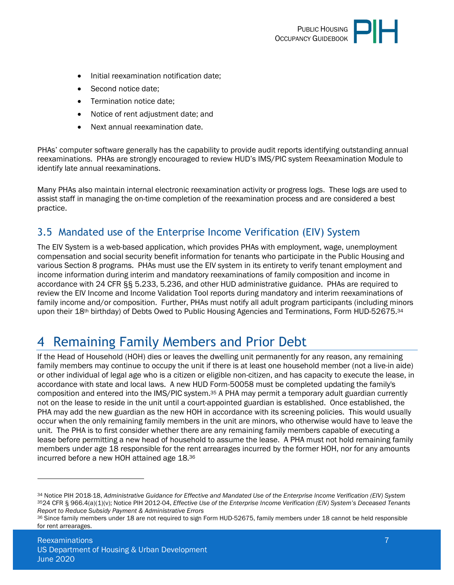

- Initial reexamination notification date;
- Second notice date;
- Termination notice date;
- Notice of rent adjustment date; and
- Next annual reexamination date.

PHAs' computer software generally has the capability to provide audit reports identifying outstanding annual reexaminations. PHAs are strongly encouraged to review HUD's IMS/PIC system Reexamination Module to identify late annual reexaminations.

Many PHAs also maintain internal electronic reexamination activity or progress logs. These logs are used to assist staff in managing the on-time completion of the reexamination process and are considered a best practice.

## <span id="page-6-0"></span>3.5 Mandated use of the Enterprise Income Verification (EIV) System

The EIV System is a web-based application, which provides PHAs with employment, wage, unemployment compensation and social security benefit information for tenants who participate in the Public Housing and various Section 8 programs. PHAs must use the EIV system in its entirety to verify tenant employment and income information during interim and mandatory reexaminations of family composition and income in accordance with 24 CFR §§ 5.233, 5.236, and other HUD administrative guidance. PHAs are required to review the EIV Income and Income Validation Tool reports during mandatory and interim reexaminations of family income and/or composition. Further, PHAs must notify all adult program participants (including minors upon their 18<sup>th</sup> birthday) of Debts Owed to Public Housing Agencies and Terminations, Form HUD-52675.<sup>34</sup>

## <span id="page-6-1"></span>4 Remaining Family Members and Prior Debt

If the Head of Household (HOH) dies or leaves the dwelling unit permanently for any reason, any remaining family members may continue to occupy the unit if there is at least one household member (not a live-in aide) or other individual of legal age who is a citizen or eligible non-citizen, and has capacity to execute the lease, in accordance with state and local laws. A new HUD Form-50058 must be completed updating the family's composition and entered into the IMS/PIC system.35 A PHA may permit a temporary adult guardian currently not on the lease to reside in the unit until a court-appointed guardian is established. Once established, the PHA may add the new guardian as the new HOH in accordance with its screening policies. This would usually occur when the only remaining family members in the unit are minors, who otherwise would have to leave the unit. The PHA is to first consider whether there are any remaining family members capable of executing a lease before permitting a new head of household to assume the lease. A PHA must not hold remaining family members under age 18 responsible for the rent arrearages incurred by the former HOH, nor for any amounts incurred before a new HOH attained age 18.<sup>36</sup>

<sup>34</sup> Notice PIH 2018-18, *Administrative Guidance for Effective and Mandated Use of the Enterprise Income Verification (EIV) System* <sup>35</sup>24 CFR § 966.4(a)(1)(v); Notice PIH 2012-04, *Effective Use of the Enterprise Income Verification (EIV) System's Deceased Tenants Report to Reduce Subsidy Payment & Administrative Errors*

<sup>36</sup> Since family members under 18 are not required to sign Form HUD-52675, family members under 18 cannot be held responsible for rent arrearages.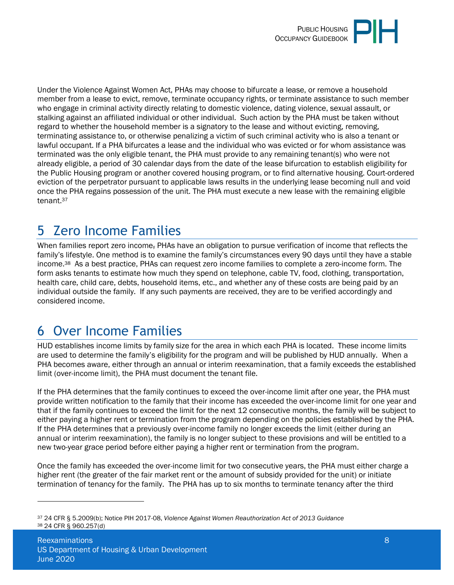

Under the Violence Against Women Act, PHAs may choose to bifurcate a lease, or remove a household member from a lease to evict, remove, terminate occupancy rights, or terminate assistance to such member who engage in criminal activity directly relating to domestic violence, dating violence, sexual assault, or stalking against an affiliated individual or other individual. Such action by the PHA must be taken without regard to whether the household member is a signatory to the lease and without evicting, removing, terminating assistance to, or otherwise penalizing a victim of such criminal activity who is also a tenant or lawful occupant. If a PHA bifurcates a lease and the individual who was evicted or for whom assistance was terminated was the only eligible tenant, the PHA must provide to any remaining tenant(s) who were not already eligible, a period of 30 calendar days from the date of the lease bifurcation to establish eligibility for the Public Housing program or another covered housing program, or to find alternative housing. Court-ordered eviction of the perpetrator pursuant to applicable laws results in the underlying lease becoming null and void once the PHA regains possession of the unit. The PHA must execute a new lease with the remaining eligible tenant.<sup>37</sup>

# <span id="page-7-0"></span>5 Zero Income Families

When families report zero income, PHAs have an obligation to pursue verification of income that reflects the family's lifestyle. One method is to examine the family's circumstances every 90 days until they have a stable income.38 As a best practice, PHAs can request zero income families to complete a zero-income form. The form asks tenants to estimate how much they spend on telephone, cable TV, food, clothing, transportation, health care, child care, debts, household items, etc., and whether any of these costs are being paid by an individual outside the family. If any such payments are received, they are to be verified accordingly and considered income.

## <span id="page-7-1"></span>6 Over Income Families

HUD establishes income limits by family size for the area in which each PHA is located. These income limits are used to determine the family's eligibility for the program and will be published by HUD annually. When a PHA becomes aware, either through an annual or interim reexamination, that a family exceeds the established limit (over-income limit), the PHA must document the tenant file.

If the PHA determines that the family continues to exceed the over-income limit after one year, the PHA must provide written notification to the family that their income has exceeded the over-income limit for one year and that if the family continues to exceed the limit for the next 12 consecutive months, the family will be subject to either paying a higher rent or termination from the program depending on the policies established by the PHA. If the PHA determines that a previously over-income family no longer exceeds the limit (either during an annual or interim reexamination), the family is no longer subject to these provisions and will be entitled to a new two-year grace period before either paying a higher rent or termination from the program.

Once the family has exceeded the over-income limit for two consecutive years, the PHA must either charge a higher rent (the greater of the fair market rent or the amount of subsidy provided for the unit) or initiate termination of tenancy for the family. The PHA has up to six months to terminate tenancy after the third

<sup>37</sup> 24 CFR § 5.2009(b); Notice PIH 2017-08, *Violence Against Women Reauthorization Act of 2013 Guidance* 38 24 CFR § 960.257(d)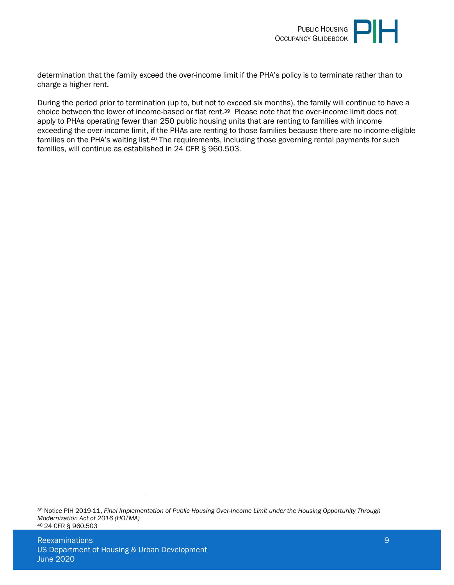

determination that the family exceed the over-income limit if the PHA's policy is to terminate rather than to charge a higher rent.

During the period prior to termination (up to, but not to exceed six months), the family will continue to have a choice between the lower of income-based or flat rent.39 Please note that the over-income limit does not apply to PHAs operating fewer than 250 public housing units that are renting to families with income exceeding the over-income limit, if the PHAs are renting to those families because there are no income-eligible families on the PHA's waiting list.<sup>40</sup> The requirements, including those governing rental payments for such families, will continue as established in 24 CFR § 960.503.

<sup>39</sup> Notice PIH 2019-11, *Final Implementation of Public Housing Over-Income Limit under the Housing Opportunity Through Modernization Act of 2016 (HOTMA)* 40 24 CFR § 960.503